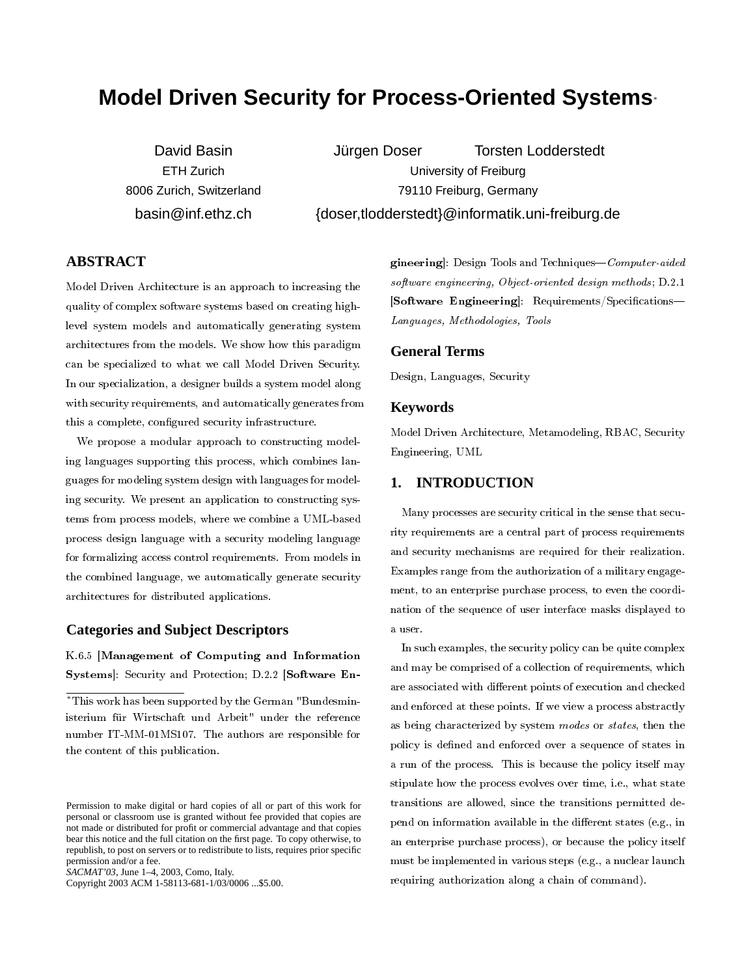# **Model Driven Security for Process-Oriented Systems**<sup>∗</sup>

David Basin ETH Zurich 8006 Zurich, Switzerland basin@inf.ethz.ch

Jürgen Doser Torsten Lodderstedt University of Freiburg 79110 Freiburg, Germany {doser,tlodderstedt}@informatik.uni-freiburg.de

# **ABSTRACT**

Model Driven Architecture is an approach to increasing the quality of complex software systems based on creating highlevel system models and automatically generating system architectures from the models. We show how this paradigm can be specialized to what we call Model Driven Security. In our specialization, a designer builds a system model along with security requirements, and automatically generates from this a complete, configured security infrastructure.

We propose a modular approach to constructing modeling languages supporting this process, which combines languages for modeling system design with languages for modeling security. We present an application to constructing systems from process models, where we combine a UML-based process design language with a security modeling language for formalizing access control requirements. From models in the combined language, we automatically generate security architectures for distributed applications.

## **Categories and Subject Descriptors**

K.6.5 [Management of Computing and Information Systems]: Security and Protection; D.2.2 [Software En-

Copyright 2003 ACM 1-58113-681-1/03/0006 ...\$5.00.

gineering]: Design Tools and Techniques— $Computer\-aided$ software engineering, Object-oriented design methods; D.2.1 [Software Engineering]: Requirements/Specifications-Languages, Methodologies, Tools

#### **General Terms**

Design, Languages, Security

#### **Keywords**

Model Driven Architecture, Metamodeling, RBAC, Security Engineering, UML

## **1. INTRODUCTION**

Many processes are security critical in the sense that security requirements are a central part of process requirements and security mechanisms are required for their realization. Examples range from the authorization of a military engagement, to an enterprise purchase process, to even the coordination of the sequence of user interface masks displayed to a user.

In such examples, the security policy can be quite complex and may be comprised of a collection of requirements, which are associated with different points of execution and checked and enforced at these points. If we view a process abstractly as being characterized by system modes or states, then the policy is defined and enforced over a sequence of states in a run of the process. This is because the policy itself may stipulate how the process evolves over time, i.e., what state transitions are allowed, since the transitions permitted depend on information available in the different states (e.g., in an enterprise purchase process), or because the policy itself must be implemented in various steps (e.g., a nuclear launch requiring authorization along a chain of command).

<sup>∗</sup>This work has been supported by the German "Bundesministerium für Wirtschaft und Arbeit" under the reference number IT-MM-01MS107. The authors are responsible for the content of this publication.

Permission to make digital or hard copies of all or part of this work for personal or classroom use is granted without fee provided that copies are not made or distributed for profit or commercial advantage and that copies bear this notice and the full citation on the first page. To copy otherwise, to republish, to post on servers or to redistribute to lists, requires prior specific permission and/or a fee.

*SACMAT'03,* June 1–4, 2003, Como, Italy.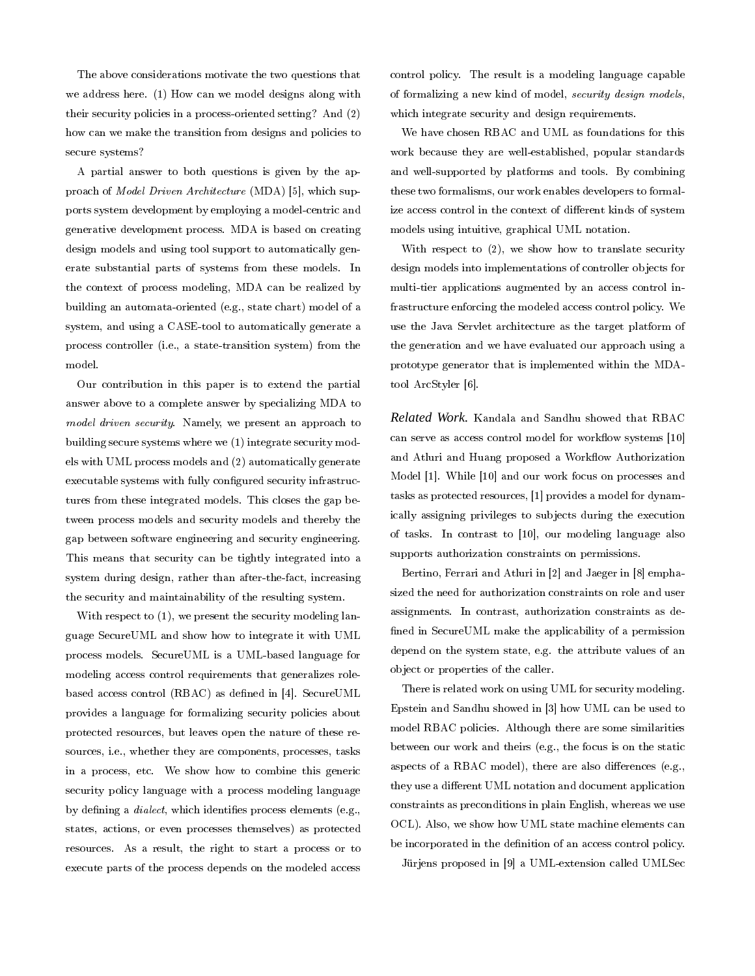The above considerations motivate the two questions that we address here. (1) How can we model designs along with their security policies in a process-oriented setting? And (2) how can we make the transition from designs and policies to secure systems?

A partial answer to both questions is given by the approach of Model Driven Architecture (MDA) [5], which supports system development by employing a model-centric and generative development process. MDA is based on creating design models and using tool support to automatically generate substantial parts of systems from these models. In the context of process modeling, MDA can be realized by building an automata-oriented (e.g., state chart) model of a system, and using a CASE-tool to automatically generate a process controller (i.e., a state-transition system) from the model.

Our contribution in this paper is to extend the partial answer above to a complete answer by specializing MDA to model driven security. Namely, we present an approach to building secure systems where we (1) integrate security models with UML process models and (2) automatically generate executable systems with fully configured security infrastructures from these integrated models. This closes the gap between process models and security models and thereby the gap between software engineering and security engineering. This means that security can be tightly integrated into a system during design, rather than after-the-fact, increasing the security and maintainability of the resulting system.

With respect to (1), we present the security modeling language SecureUML and show how to integrate it with UML process models. SecureUML is a UML-based language for modeling access control requirements that generalizes rolebased access control (RBAC) as defined in [4]. SecureUML provides a language for formalizing security policies about protected resources, but leaves open the nature of these resources, i.e., whether they are components, processes, tasks in a process, etc. We show how to combine this generic security policy language with a process modeling language by defining a *dialect*, which identifies process elements (e.g., states, actions, or even processes themselves) as protected resources. As a result, the right to start a process or to execute parts of the process depends on the modeled access

control policy. The result is a modeling language capable of formalizing a new kind of model, security design models, which integrate security and design requirements.

We have chosen RBAC and UML as foundations for this work because they are well-established, popular standards and well-supported by platforms and tools. By combining these two formalisms, our work enables developers to formalize access control in the context of different kinds of system models using intuitive, graphical UML notation.

With respect to (2), we show how to translate security design models into implementations of controller objects for multi-tier applications augmented by an access control infrastructure enforcing the modeled access control policy. We use the Java Servlet architecture as the target platform of the generation and we have evaluated our approach using a prototype generator that is implemented within the MDAtool ArcStyler [6].

*Related Work.* Kandala and Sandhu showed that RBAC can serve as access control model for workflow systems [10] and Atluri and Huang proposed a Workflow Authorization Model [1]. While [10] and our work focus on processes and tasks as protected resources, [1] provides a model for dynamically assigning privileges to subjects during the execution of tasks. In contrast to [10], our modeling language also supports authorization constraints on permissions.

Bertino, Ferrari and Atluri in [2] and Jaeger in [8] emphasized the need for authorization constraints on role and user assignments. In contrast, authorization constraints as de fined in SecureUML make the applicability of a permission depend on the system state, e.g. the attribute values of an object or properties of the caller.

There is related work on using UML for security modeling. Epstein and Sandhu showed in [3] how UML can be used to model RBAC policies. Although there are some similarities between our work and theirs (e.g., the focus is on the static aspects of a RBAC model), there are also differences (e.g., they use a different UML notation and document application constraints as preconditions in plain English, whereas we use OCL). Also, we show how UML state machine elements can be incorporated in the definition of an access control policy.

Jürjens proposed in [9] a UML-extension called UMLSec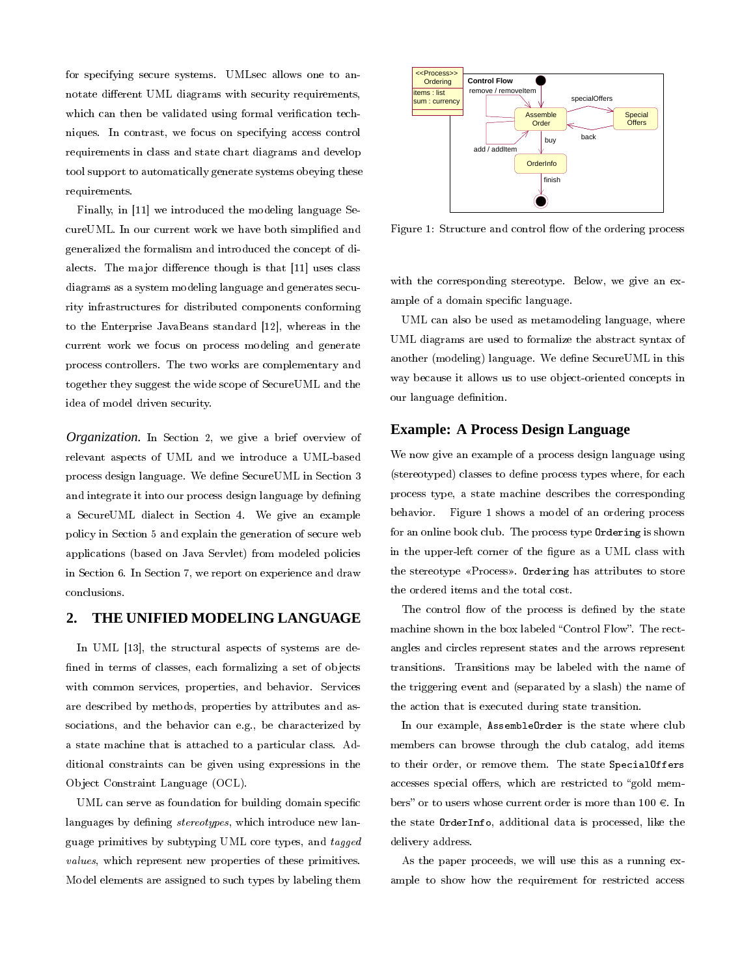for specifying secure systems. UMLsec allows one to annotate different UML diagrams with security requirements, which can then be validated using formal verification techniques. In contrast, we focus on specifying access control requirements in class and state chart diagrams and develop tool support to automatically generate systems obeying these requirements.

Finally, in [11] we introduced the modeling language SecureUML. In our current work we have both simplied and generalized the formalism and introduced the concept of dialects. The major difference though is that [11] uses class diagrams as a system modeling language and generates security infrastructures for distributed components conforming to the Enterprise JavaBeans standard [12], whereas in the current work we focus on process modeling and generate process controllers. The two works are complementary and together they suggest the wide scope of SecureUML and the idea of model driven security.

*Organization.* In Section 2, we give a brief overview of relevant aspects of UML and we introduce a UML-based process design language. We dene SecureUML in Section 3 and integrate it into our process design language by defining a SecureUML dialect in Section 4. We give an example policy in Section 5 and explain the generation of secure web applications (based on Java Servlet) from modeled policies in Section 6. In Section 7, we report on experience and draw conclusions.

#### **2. THE UNIFIED MODELING LANGUAGE**

In UML [13], the structural aspects of systems are defined in terms of classes, each formalizing a set of objects with common services, properties, and behavior. Services are described by methods, properties by attributes and associations, and the behavior can e.g., be characterized by a state machine that is attached to a particular class. Additional constraints can be given using expressions in the Object Constraint Language (OCL).

UML can serve as foundation for building domain specific languages by defining *stereotypes*, which introduce new language primitives by subtyping UML core types, and tagged values, which represent new properties of these primitives. Model elements are assigned to such types by labeling them



Figure 1: Structure and control flow of the ordering process

with the corresponding stereotype. Below, we give an example of a domain specific language.

UML can also be used as metamodeling language, where UML diagrams are used to formalize the abstract syntax of another (modeling) language. We define SecureUML in this way because it allows us to use object-oriented concepts in our language definition.

## **Example: A Process Design Language**

We now give an example of a process design language using (stereotyped) classes to define process types where, for each process type, a state machine describes the corresponding behavior. Figure 1 shows a model of an ordering process for an online book club. The process type Ordering is shown in the upper-left corner of the figure as a UML class with the stereotype «Process». Ordering has attributes to store the ordered items and the total cost.

The control flow of the process is defined by the state machine shown in the box labeled "Control Flow". The rectangles and circles represent states and the arrows represent transitions. Transitions may be labeled with the name of the triggering event and (separated by a slash) the name of the action that is executed during state transition.

In our example, AssembleOrder is the state where club members can browse through the club catalog, add items to their order, or remove them. The state SpecialOffers accesses special offers, which are restricted to "gold members" or to users whose current order is more than  $100 \in$ . In the state OrderInfo, additional data is processed, like the delivery address.

As the paper proceeds, we will use this as a running example to show how the requirement for restricted access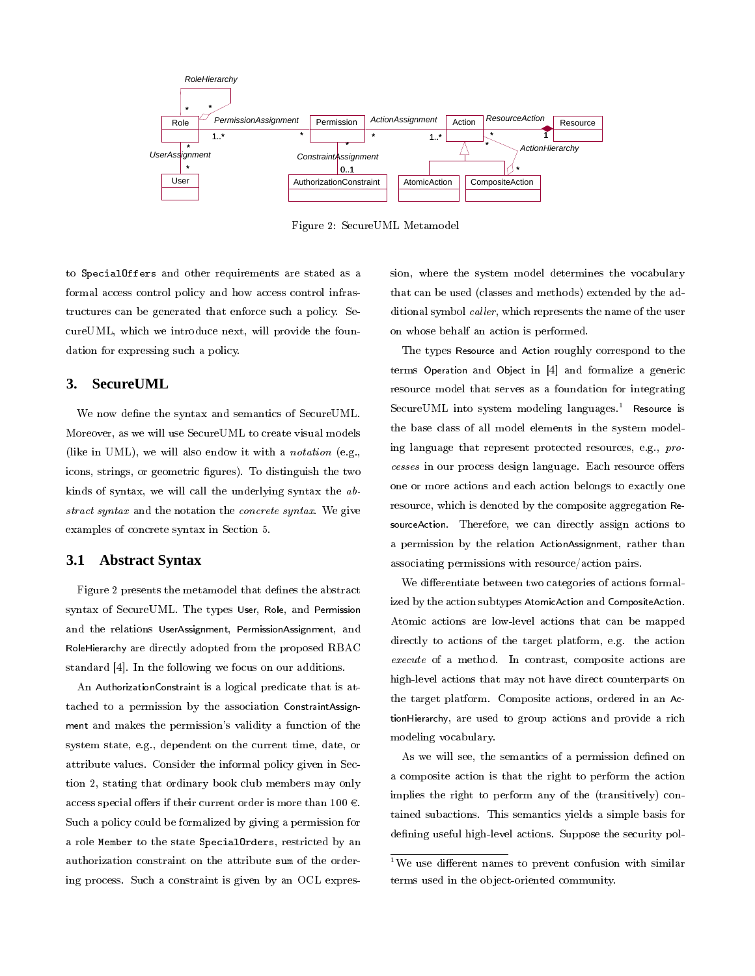

Figure 2: SecureUML Metamodel

to SpecialOffers and other requirements are stated as a formal access control policy and how access control infrastructures can be generated that enforce such a policy. SecureUML, which we introduce next, will provide the foundation for expressing such a policy.

### **3. SecureUML**

We now define the syntax and semantics of SecureUML. Moreover, as we will use SecureUML to create visual models (like in UML), we will also endow it with a notation (e.g., icons, strings, or geometric figures). To distinguish the two kinds of syntax, we will call the underlying syntax the abstract syntax and the notation the concrete syntax. We give examples of concrete syntax in Section 5.

### **3.1 Abstract Syntax**

Figure 2 presents the metamodel that defines the abstract syntax of SecureUML. The types User, Role, and Permission and the relations UserAssignment, PermissionAssignment, and RoleHierarchy are directly adopted from the proposed RBAC standard [4]. In the following we focus on our additions.

An AuthorizationConstraint is a logical predicate that is attached to a permission by the association ConstraintAssignment and makes the permission's validity a function of the system state, e.g., dependent on the current time, date, or attribute values. Consider the informal policy given in Section 2, stating that ordinary book club members may only access special offers if their current order is more than 100  $\in$ . Such a policy could be formalized by giving a permission for a role Member to the state SpecialOrders, restricted by an authorization constraint on the attribute sum of the ordering process. Such a constraint is given by an OCL expression, where the system model determines the vocabulary that can be used (classes and methods) extended by the additional symbol caller, which represents the name of the user on whose behalf an action is performed.

The types Resource and Action roughly correspond to the terms Operation and Object in [4] and formalize a generic resource model that serves as a foundation for integrating SecureUML into system modeling languages.<sup>1</sup> Resource is the base class of all model elements in the system modeling language that represent protected resources, e.g., processes in our process design language. Each resource offers one or more actions and each action belongs to exactly one resource, which is denoted by the composite aggregation ResourceAction. Therefore, we can directly assign actions to a permission by the relation ActionAssignment, rather than associating permissions with resource/action pairs.

We differentiate between two categories of actions formalized by the action subtypes AtomicAction and CompositeAction. Atomic actions are low-level actions that can be mapped directly to actions of the target platform, e.g. the action execute of a method. In contrast, composite actions are high-level actions that may not have direct counterparts on the target platform. Composite actions, ordered in an ActionHierarchy, are used to group actions and provide a rich modeling vocabulary.

As we will see, the semantics of a permission defined on a composite action is that the right to perform the action implies the right to perform any of the (transitively) contained subactions. This semantics yields a simple basis for defining useful high-level actions. Suppose the security pol-

<sup>&</sup>lt;sup>1</sup>We use different names to prevent confusion with similar terms used in the object-oriented community.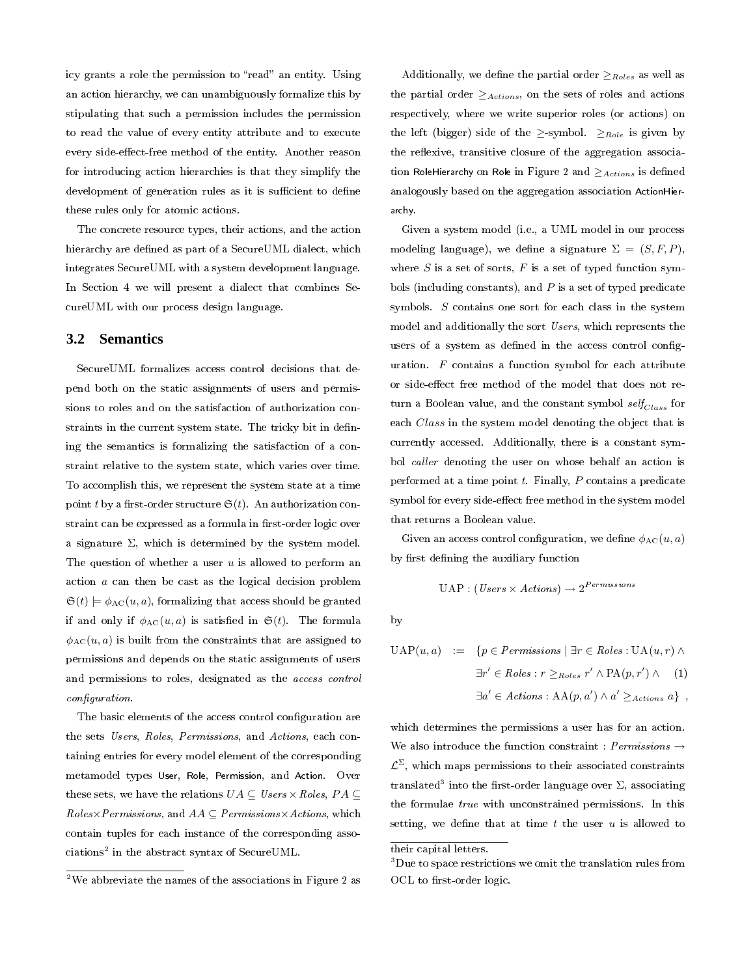icy grants a role the permission to "read" an entity. Using an action hierarchy, we can unambiguously formalize this by stipulating that such a permission includes the permission to read the value of every entity attribute and to execute every side-effect-free method of the entity. Another reason for introducing action hierarchies is that they simplify the development of generation rules as it is sufficient to define these rules only for atomic actions.

The concrete resource types, their actions, and the action hierarchy are defined as part of a SecureUML dialect, which integrates SecureUML with a system development language. In Section 4 we will present a dialect that combines SecureUML with our process design language.

#### **3.2 Semantics**

SecureUML formalizes access control decisions that depend both on the static assignments of users and permissions to roles and on the satisfaction of authorization constraints in the current system state. The tricky bit in defining the semantics is formalizing the satisfaction of a constraint relative to the system state, which varies over time. To accomplish this, we represent the system state at a time point t by a first-order structure  $\mathfrak{S}(t)$ . An authorization constraint can be expressed as a formula in first-order logic over a signature  $\Sigma$ , which is determined by the system model. The question of whether a user  $u$  is allowed to perform an action a can then be cast as the logical decision problem  $\mathfrak{S}(t) \models \phi_{\text{AC}}(u, a)$ , formalizing that access should be granted if and only if  $\phi_{AC}(u, a)$  is satisfied in  $\mathfrak{S}(t)$ . The formula  $\phi_{AC}(u, a)$  is built from the constraints that are assigned to permissions and depends on the static assignments of users and permissions to roles, designated as the access control configuration.

The basic elements of the access control configuration are the sets Users, Roles, Permissions, and Actions, each containing entries for every model element of the corresponding metamodel types User, Role, Permission, and Action. Over these sets, we have the relations  $UA \subseteq Users \times Rules, PA \subseteq$  $\mathit{Robes}\times\mathit{Permissions}$ , and  $\mathit{AA}\subseteq\mathit{Permissions}\times\mathit{Actions}$ , which contain tuples for each instance of the corresponding asso $ciations^2$  in the abstract syntax of SecureUML.

Additionally, we define the partial order  $\geq_{Roles}$  as well as the partial order  $\geq_{Actions}$ , on the sets of roles and actions respectively, where we write superior roles (or actions) on the left (bigger) side of the  $\geq$ -symbol.  $\geq_{Role}$  is given by the reflexive, transitive closure of the aggregation association RoleHierarchy on Role in Figure 2 and  $\geq$  Actions is defined analogously based on the aggregation association ActionHierarchy.

Given a system model (i.e., a UML model in our process modeling language), we define a signature  $\Sigma = (S, F, P)$ , where  $S$  is a set of sorts,  $F$  is a set of typed function symbols (including constants), and  $P$  is a set of typed predicate symbols. S contains one sort for each class in the system model and additionally the sort Users, which represents the users of a system as defined in the access control configuration. F contains a function symbol for each attribute or side-effect free method of the model that does not return a Boolean value, and the constant symbol  $self_{Class}$  for each *Class* in the system model denoting the object that is currently accessed. Additionally, there is a constant symbol caller denoting the user on whose behalf an action is performed at a time point  $t$ . Finally,  $P$  contains a predicate symbol for every side-effect free method in the system model that returns a Boolean value.

Given an access control configuration, we define  $\phi_{AC}(u, a)$ by first defining the auxiliary function

$$
\text{UAP}: (Users \times Actions) \rightarrow 2^{Permissions}
$$

by

$$
UAP(u, a) := \{ p \in \text{Permissions} \mid \exists r \in \text{Roles} : UA(u, r) \land
$$

$$
\exists r' \in \text{Roles} : r \geq_{\text{Roles}} r' \land PA(p, r') \land (1)
$$

$$
\exists a' \in \text{Actions} : AA(p, a') \land a' \geq_{\text{Actions}} a \},
$$

which determines the permissions a user has for an action. We also introduce the function constraint :  $Permissions \rightarrow$  $\mathcal{L}^{\Sigma},$  which maps permissions to their associated constraints translated<sup>3</sup> into the first-order language over  $\Sigma,$  associating the formulae true with unconstrained permissions. In this setting, we define that at time  $t$  the user  $u$  is allowed to

<sup>&</sup>lt;sup>2</sup>We abbreviate the names of the associations in Figure 2 as

their capital letters.

<sup>&</sup>lt;sup>3</sup>Due to space restrictions we omit the translation rules from OCL to first-order logic.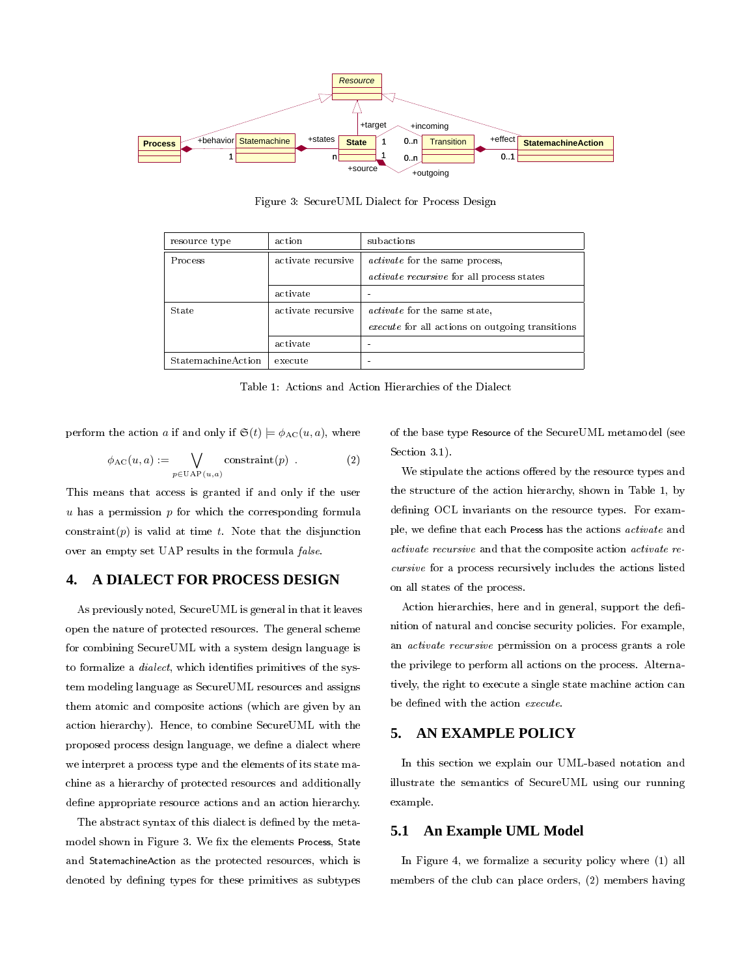

Figure 3: SecureUML Dialect for Process Design

| resource type      | action             | subactions                                             |
|--------------------|--------------------|--------------------------------------------------------|
| <b>Process</b>     | activate recursive | <i>activate</i> for the same process,                  |
|                    |                    | <i>activate recursive</i> for all process states       |
|                    | activate           |                                                        |
| State              | activate recursive | <i>activate</i> for the same state,                    |
|                    |                    | <i>execute</i> for all actions on outgoing transitions |
|                    | activate           |                                                        |
| StatemachineAction | execute            |                                                        |

Table 1: Actions and Action Hierarchies of the Dialect

perform the action a if and only if  $\mathfrak{S}(t) \models \phi_{AC}(u, a)$ , where

$$
\phi_{AC}(u, a) := \bigvee_{p \in \text{UAP}(u, a)} \text{constraint}(p) . \tag{2}
$$

This means that access is granted if and only if the user  $u$  has a permission  $p$  for which the corresponding formula constraint(p) is valid at time t. Note that the disjunction over an empty set UAP results in the formula false.

# **4. A DIALECT FOR PROCESS DESIGN**

As previously noted, SecureUML is general in that it leaves open the nature of protected resources. The general scheme for combining SecureUML with a system design language is to formalize a *dialect*, which identifies primitives of the system modeling language as SecureUML resources and assigns them atomic and composite actions (which are given by an action hierarchy). Hence, to combine SecureUML with the proposed process design language, we define a dialect where we interpret a process type and the elements of its state machine as a hierarchy of protected resources and additionally define appropriate resource actions and an action hierarchy.

The abstract syntax of this dialect is defined by the metamodel shown in Figure 3. We fix the elements Process, State and StatemachineAction as the protected resources, which is denoted by dening types for these primitives as subtypes of the base type Resource of the SecureUML metamodel (see Section 3.1).

We stipulate the actions offered by the resource types and the structure of the action hierarchy, shown in Table 1, by defining OCL invariants on the resource types. For example, we define that each Process has the actions *activate* and activate recursive and that the composite action activate recursive for a process recursively includes the actions listed on all states of the process.

Action hierarchies, here and in general, support the definition of natural and concise security policies. For example, an activate recursive permission on a process grants a role the privilege to perform all actions on the process. Alternatively, the right to execute a single state machine action can be defined with the action execute.

## **5. AN EXAMPLE POLICY**

In this section we explain our UML-based notation and illustrate the semantics of SecureUML using our running example.

## **5.1 An Example UML Model**

In Figure 4, we formalize a security policy where (1) all members of the club can place orders, (2) members having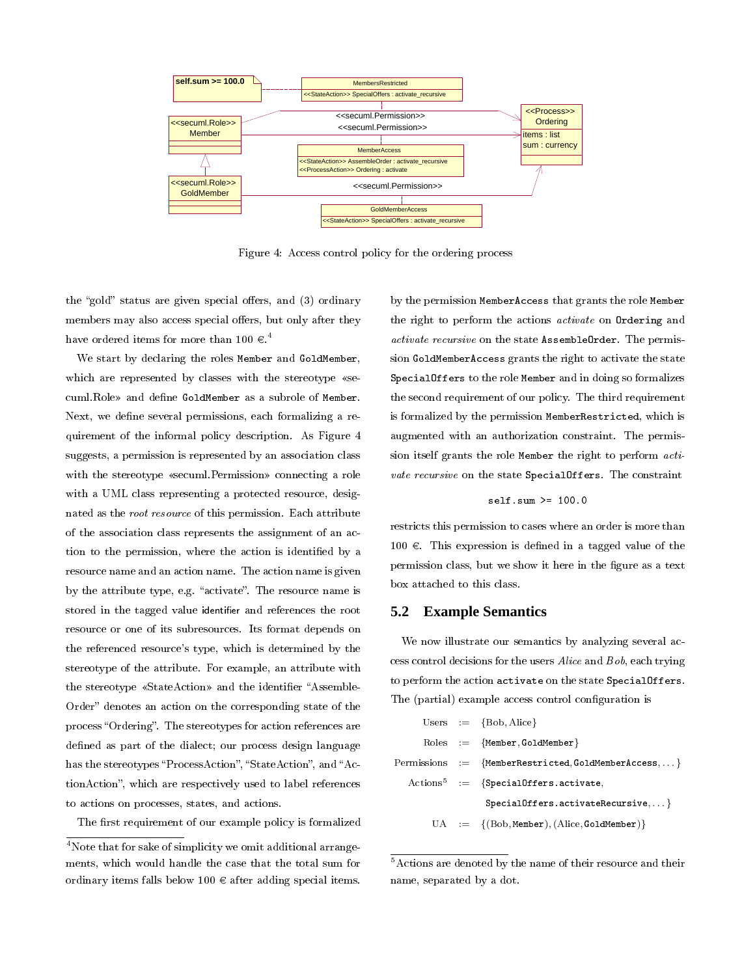

Figure 4: Access control policy for the ordering process

the "gold" status are given special offers, and (3) ordinary members may also access special offers, but only after they have ordered items for more than  $100 \in .^4$ 

We start by declaring the roles Member and GoldMember, which are represented by classes with the stereotype «secuml.Role» and define GoldMember as a subrole of Member. Next, we define several permissions, each formalizing a requirement of the informal policy description. As Figure 4 suggests, a permission is represented by an association class with the stereotype «secuml.Permission» connecting a role with a UML class representing a protected resource, designated as the root resource of this permission. Each attribute of the association class represents the assignment of an action to the permission, where the action is identified by a resource name and an action name. The action name is given by the attribute type, e.g. "activate". The resource name is stored in the tagged value identifier and references the root resource or one of its subresources. Its format depends on the referenced resource's type, which is determined by the stereotype of the attribute. For example, an attribute with the stereotype «StateAction» and the identifier "Assemble-Order" denotes an action on the corresponding state of the process "Ordering". The stereotypes for action references are defined as part of the dialect; our process design language has the stereotypes "ProcessAction", "StateAction", and "ActionAction", which are respectively used to label references to actions on processes, states, and actions.

The first requirement of our example policy is formalized

by the permission MemberAccess that grants the role Member the right to perform the actions activate on Ordering and activate recursive on the state AssembleOrder. The permission GoldMemberAccess grants the right to activate the state SpecialOffers to the role Member and in doing so formalizes the second requirement of our policy. The third requirement is formalized by the permission MemberRestricted, which is augmented with an authorization constraint. The permission itself grants the role Member the right to perform activate recursive on the state SpecialOffers. The constraint

$$
\texttt{self.sum} \geq 100.0
$$

restricts this permission to cases where an order is more than  $100 \text{ } \in$ . This expression is defined in a tagged value of the permission class, but we show it here in the figure as a text box attached to this class.

#### **5.2 Example Semantics**

We now illustrate our semantics by analyzing several access control decisions for the users Alice and Bob, each trying to perform the action activate on the state SpecialOffers. The (partial) example access control configuration is

|  | Users $:= \{Bob, Alice\}$                                                                           |
|--|-----------------------------------------------------------------------------------------------------|
|  | $\text{Roles} := \{ \text{Member}, \text{GoldMember} \}$                                            |
|  | $\text{Permissions} \quad := \quad \{\texttt{MemberRestricted}, \texttt{GoldMemberAccess}, \dots\}$ |
|  | $\text{Actions}^5 := \{ \text{SpecialOffers.} \text{active}, \}$                                    |
|  | $SpecialOffers. activeRecursive, $                                                                  |
|  | $UA := \{(Bob, Member), (Alice, Goldenbeen) \}$                                                     |

<sup>5</sup>Actions are denoted by the name of their resource and their name, separated by a dot.

<sup>&</sup>lt;sup>4</sup>Note that for sake of simplicity we omit additional arrangements, which would handle the case that the total sum for ordinary items falls below  $100 \in$  after adding special items.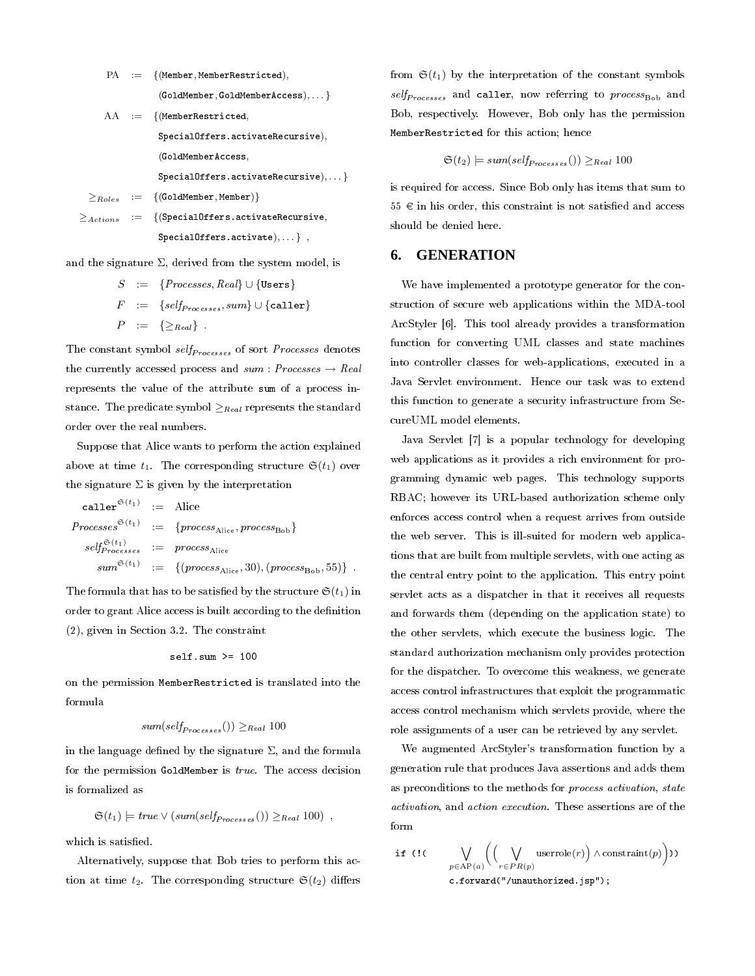$$
\begin{array}{rcl} \text{PA} & := & \begin{array}{l} \text{(Member, MemberRestricted)}, \end{array} \\ & & \\ \text{(GoldMember, GoldMemberAccess)}, \ldots \end{array} \\ \text{AA} & := & \begin{array}{l} \text{(MemberRestricted,} \end{array} \\ & & \\ \text{SpecialOffers. activateRecursive),} \end{array} \\ & & \\ \text{(GoldMemberAccess,} \end{array} \\ \begin{array}{rcl} \text{SpecialOffers. activateRecursive),} \ldots \end{array} \\ \begin{array}{rcl} \geq \text{Robes} & := & \begin{array}{l} \text{(GoldMember, Member)} \end{array} \\ & & \\ \text{SpecialOffers. activateRecursive,} \end{array} \\ & & \\ \text{SpecialOffers. activateRecursive),} \end{array}
$$

and the signature  $\Sigma$ , derived from the system model, is

$$
S := \{Processes, Real\} \cup \{\texttt{Users}\}
$$
\n
$$
F := \{self_{Processes}, sum\} \cup \{caller\}
$$
\n
$$
P := \{\geq_{Real}\}.
$$

The constant symbol  $self_{Processes}$  of sort *Processes* denotes the currently accessed process and  $sum : Processes \rightarrow Real$ represents the value of the attribute sum of a process instance. The predicate symbol  $\geq_{Real}$  represents the standard order over the real numbers.

Suppose that Alice wants to perform the action explained above at time  $t_1$ . The corresponding structure  $\mathfrak{S}(t_1)$  over the signature  $\Sigma$  is given by the interpretation

$$
\begin{aligned}\n\text{caller}^{\mathfrak{S}(t_1)} &:= \text{Alice} \\
\text{Processes}^{\mathfrak{S}(t_1)} &:= \{process_{\text{Alice}}, process_{\text{Bob}}\} \\
\text{self}_{Processes}^{\mathfrak{S}(t_1)} &:= \text{process}_{\text{Alice}} \\
\text{sum}^{\mathfrak{S}(t_1)} &:= \{(\text{process}_{\text{Alice}}, 30), (\text{process}_{\text{Bob}}, 55)\} \n\end{aligned}
$$

The formula that has to be satisfied by the structure  $\mathfrak{S}(t_1)$  in order to grant Alice access is built according to the definition (2), given in Section 3.2. The constraint

$$
self.sum >= 100
$$

on the permission MemberRestricted is translated into the formula

$$
sum(selfProcesses()) \geq_{Real} 100
$$

in the language defined by the signature  $\Sigma$ , and the formula for the permission GoldMember is true. The access decision is formalized as

$$
\mathfrak{S}(t_1) \models true \vee (sum(self_{Processes})) \geq_{Real} 100),
$$

which is satisfied.

Alternatively, suppose that Bob tries to perform this action at time  $t_2$ . The corresponding structure  $\mathfrak{S}(t_2)$  differs

from  $\mathfrak{S}(t_1)$  by the interpretation of the constant symbols  $self_{Processes}$  and caller, now referring to  $process_{Bob}$  and Bob, respectively. However, Bob only has the permission MemberRestricted for this action; hence

$$
\mathfrak{S}(t_2) \models \mathit{sum}(\mathit{self}_{Processes})) \geq_{\mathit{Real}} 100
$$

is required for access. Since Bob only has items that sum to  $55 \text{ } \in$  in his order, this constraint is not satisfied and access should be denied here.

#### **6. GENERATION**

We have implemented a prototype generator for the construction of secure web applications within the MDA-tool ArcStyler [6]. This tool already provides a transformation function for converting UML classes and state machines into controller classes for web-applications, executed in a Java Servlet environment. Hence our task was to extend this function to generate a security infrastructure from SecureUML model elements.

Java Servlet [7] is a popular technology for developing web applications as it provides a rich environment for programming dynamic web pages. This technology supports RBAC; however its URL-based authorization scheme only enforces access control when a request arrives from outside the web server. This is ill-suited for modern web applications that are built from multiple servlets, with one acting as the central entry point to the application. This entry point servlet acts as a dispatcher in that it receives all requests and forwards them (depending on the application state) to the other servlets, which execute the business logic. The standard authorization mechanism only provides protection for the dispatcher. To overcome this weakness, we generate access control infrastructures that exploit the programmatic access control mechanism which servlets provide, where the role assignments of a user can be retrieved by any servlet.

We augmented ArcStyler's transformation function by a generation rule that produces Java assertions and adds them as preconditions to the methods for process activation, state activation, and action execution. These assertions are of the form

if (! ( 
$$
\bigvee_{p \in \mathrm{AP}(a)} \left( \bigvee_{r \in PR(p)} \mathrm{userrole}(r) \right) \wedge \mathrm{constraint}(p) \right))
$$
  
c.forward("/unauthorized.jsp");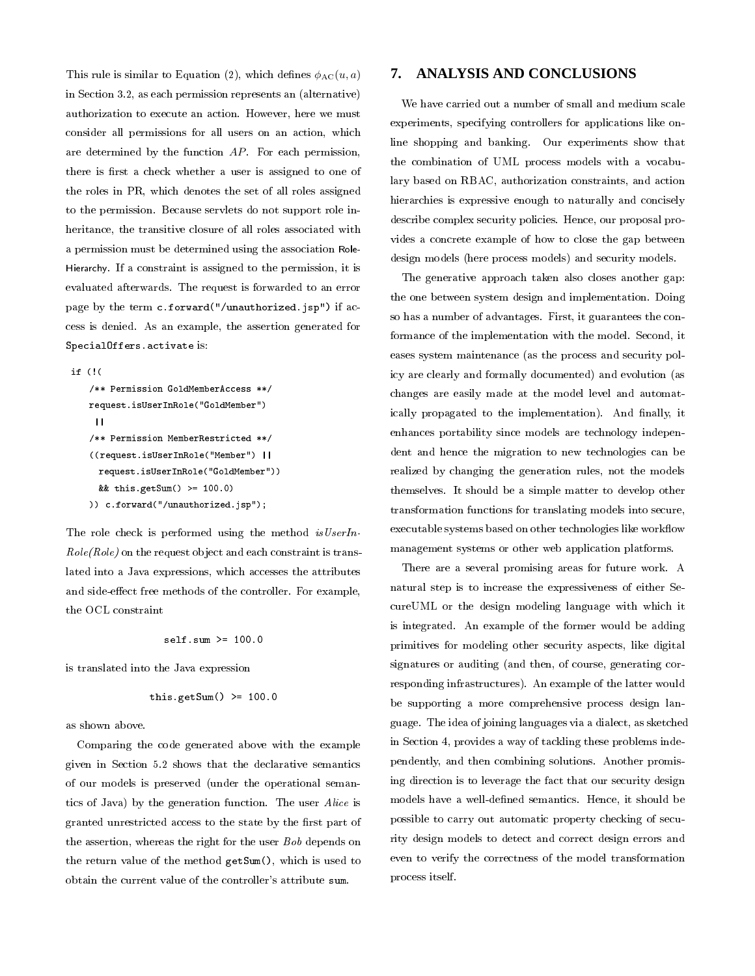This rule is similar to Equation (2), which defines  $\phi_{AC}(u, a)$ in Section 3.2, as each permission represents an (alternative) authorization to execute an action. However, here we must consider all permissions for all users on an action, which are determined by the function AP. For each permission, there is first a check whether a user is assigned to one of the roles in PR, which denotes the set of all roles assigned to the permission. Because servlets do not support role inheritance, the transitive closure of all roles associated with a permission must be determined using the association Role-Hierarchy. If a constraint is assigned to the permission, it is evaluated afterwards. The request is forwarded to an error page by the term c.forward("/unauthorized.jsp") if access is denied. As an example, the assertion generated for SpecialOffers.activate is:

```
if (!(
```

```
/** Permission GoldMemberAccess **/
request.isUserInRole("GoldMember")
||/** Permission MemberRestricted **/
((request.isUserInRole("Member") ||
 request.isUserInRole("GoldMember"))
 && this.getSum() >= 100.0)
)) c.forward("/unauthorized.jsp");
```
The role check is performed using the method is UserIn- $Role(Role)$  on the request object and each constraint is translated into a Java expressions, which accesses the attributes and side-effect free methods of the controller. For example, the OCL constraint

$$
self.sum \ge 100.0
$$

is translated into the Java expression

this.getSum() 
$$
>= 100.0
$$

as shown above.

Comparing the code generated above with the example given in Section 5.2 shows that the declarative semantics of our models is preserved (under the operational semantics of Java) by the generation function. The user Alice is granted unrestricted access to the state by the first part of the assertion, whereas the right for the user Bob depends on the return value of the method getSum(), which is used to obtain the current value of the controller's attribute sum.

## **7. ANALYSIS AND CONCLUSIONS**

We have carried out a number of small and medium scale experiments, specifying controllers for applications like online shopping and banking. Our experiments show that the combination of UML process models with a vocabulary based on RBAC, authorization constraints, and action hierarchies is expressive enough to naturally and concisely describe complex security policies. Hence, our proposal provides a concrete example of how to close the gap between design models (here process models) and security models.

The generative approach taken also closes another gap: the one between system design and implementation. Doing so has a number of advantages. First, it guarantees the conformance of the implementation with the model. Second, it eases system maintenance (as the process and security policy are clearly and formally documented) and evolution (as changes are easily made at the model level and automatically propagated to the implementation). And finally, it enhances portability since models are technology independent and hence the migration to new technologies can be realized by changing the generation rules, not the models themselves. It should be a simple matter to develop other transformation functions for translating models into secure, executable systems based on other technologies like workflow management systems or other web application platforms.

There are a several promising areas for future work. A natural step is to increase the expressiveness of either SecureUML or the design modeling language with which it is integrated. An example of the former would be adding primitives for modeling other security aspects, like digital signatures or auditing (and then, of course, generating corresponding infrastructures). An example of the latter would be supporting a more comprehensive process design language. The idea of joining languages via a dialect, as sketched in Section 4, provides a way of tackling these problems independently, and then combining solutions. Another promising direction is to leverage the fact that our security design models have a well-defined semantics. Hence, it should be possible to carry out automatic property checking of security design models to detect and correct design errors and even to verify the correctness of the model transformation process itself.